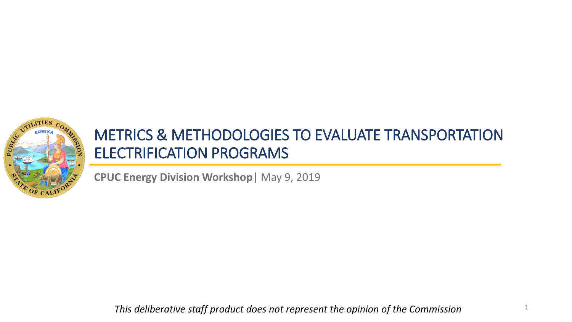

#### METRICS & METHODOLOGIES TO EVALUATE TRANSPORTATION ELECTRIFICATION PROGRAMS

**CPUC Energy Division Workshop**| May 9, 2019

*This deliberative staff product does not represent the opinion of the Commission*

1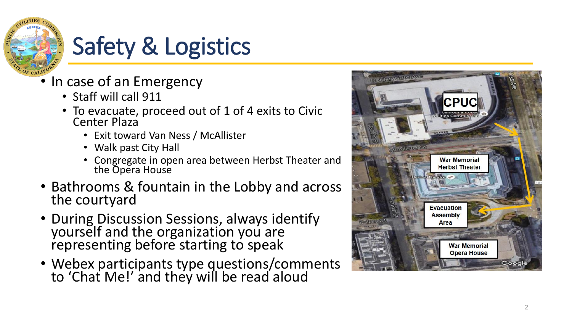

## Safety & Logistics

- In case of an Emergency Staff will call 911
	-
	- To evacuate, proceed out of 1 of 4 exits to Civic Center Plaza
		- Exit toward Van Ness / McAllister
		- Walk past City Hall
		- Congregate in open area between Herbst Theater and the Opera House
- Bathrooms & fountain in the Lobby and across the courtyard
- During Discussion Sessions, always identify yourself and the organization you are representing before starting to speak
- Webex participants type questions/comments to 'Chat Me!' and they will be read aloud

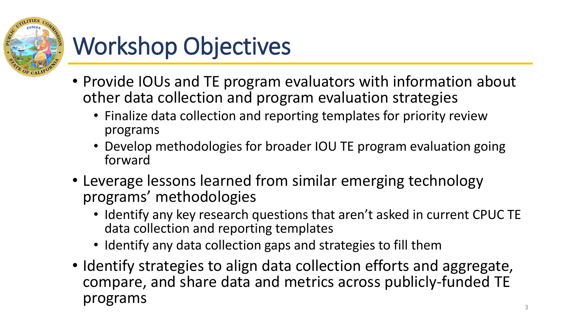

## Workshop Objectives

- Provide IOUs and TE program evaluators with information about other data collection and program evaluation strategies
	- Finalize data collection and reporting templates for priority review programs
	- Develop methodologies for broader IOU TE program evaluation going forward
- Leverage lessons learned from similar emerging technology programs' methodologies
	- Identify any key research questions that aren't asked in current CPUC TE data collection and reporting templates
	- Identify any data collection gaps and strategies to fill them
- Identify strategies to align data collection efforts and aggregate, compare, and share data and metrics across publicly-funded TE programs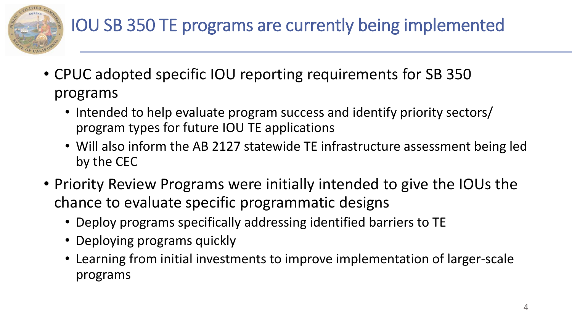

#### IOU SB 350 TE programs are currently being implemented

- CPUC adopted specific IOU reporting requirements for SB 350 programs
	- Intended to help evaluate program success and identify priority sectors/ program types for future IOU TE applications
	- Will also inform the AB 2127 statewide TE infrastructure assessment being led by the CEC
- Priority Review Programs were initially intended to give the IOUs the chance to evaluate specific programmatic designs
	- Deploy programs specifically addressing identified barriers to TE
	- Deploying programs quickly
	- Learning from initial investments to improve implementation of larger-scale programs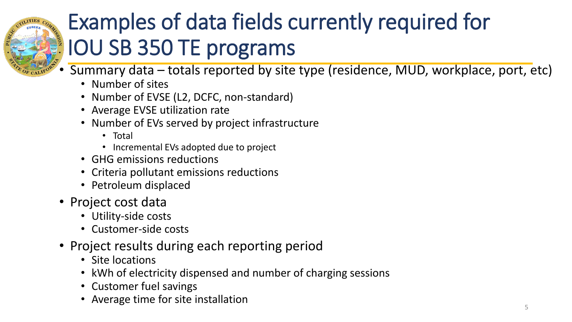

## Examples of data fields currently required for IOU SB 350 TE programs

- Summary data totals reported by site type (residence, MUD, workplace, port, etc)
	- Number of sites
	- Number of EVSE (L2, DCFC, non-standard)
	- Average EVSE utilization rate
	- Number of EVs served by project infrastructure
		- Total
		- Incremental EVs adopted due to project
	- GHG emissions reductions
	- Criteria pollutant emissions reductions
	- Petroleum displaced
- Project cost data
	- Utility-side costs
	- Customer-side costs
- Project results during each reporting period
	- Site locations
	- kWh of electricity dispensed and number of charging sessions
	- Customer fuel savings
	- Average time for site installation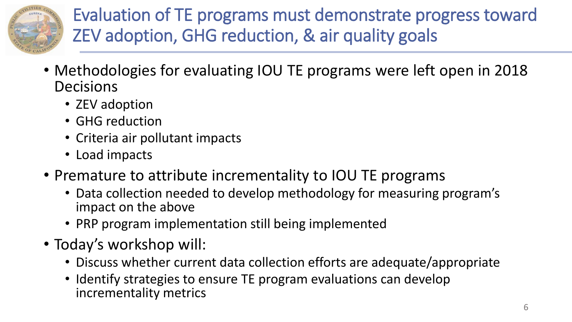

Evaluation of TE programs must demonstrate progress toward ZEV adoption, GHG reduction, & air quality goals

- Methodologies for evaluating IOU TE programs were left open in 2018 **Decisions** 
	- ZEV adoption
	- GHG reduction
	- Criteria air pollutant impacts
	- Load impacts
- Premature to attribute incrementality to IOU TE programs
	- Data collection needed to develop methodology for measuring program's impact on the above
	- PRP program implementation still being implemented
- Today's workshop will:
	- Discuss whether current data collection efforts are adequate/appropriate
	- Identify strategies to ensure TE program evaluations can develop incrementality metrics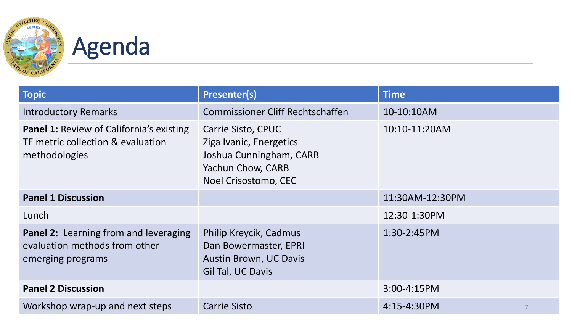

# **Agenda**

| <b>Topic</b>                                                                                          | <b>Presenter(s)</b>                                                                                                   | <b>Time</b>      |
|-------------------------------------------------------------------------------------------------------|-----------------------------------------------------------------------------------------------------------------------|------------------|
| <b>Introductory Remarks</b>                                                                           | <b>Commissioner Cliff Rechtschaffen</b>                                                                               | 10-10:10AM       |
| <b>Panel 1: Review of California's existing</b><br>TE metric collection & evaluation<br>methodologies | Carrie Sisto, CPUC<br>Ziga Ivanic, Energetics<br>Joshua Cunningham, CARB<br>Yachun Chow, CARB<br>Noel Crisostomo, CEC | 10:10-11:20AM    |
| <b>Panel 1 Discussion</b>                                                                             |                                                                                                                       | 11:30AM-12:30PM  |
| Lunch                                                                                                 |                                                                                                                       | 12:30-1:30PM     |
| Panel 2: Learning from and leveraging<br>evaluation methods from other<br>emerging programs           | Philip Kreycik, Cadmus<br>Dan Bowermaster, EPRI<br><b>Austin Brown, UC Davis</b><br>Gil Tal, UC Davis                 | 1:30-2:45PM      |
| <b>Panel 2 Discussion</b>                                                                             |                                                                                                                       | $3:00 - 4:15$ PM |
| Workshop wrap-up and next steps                                                                       | <b>Carrie Sisto</b>                                                                                                   | 4:15-4:30PM      |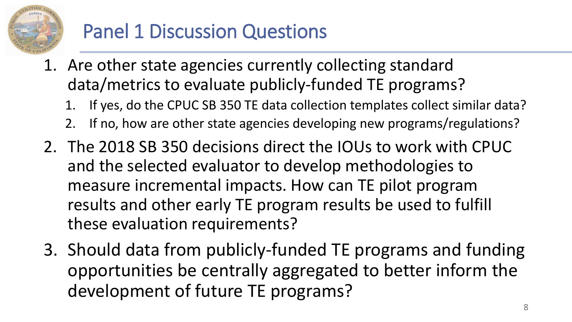

### Panel 1 Discussion Questions

- 1. Are other state agencies currently collecting standard data/metrics to evaluate publicly-funded TE programs?
	- If yes, do the CPUC SB 350 TE data collection templates collect similar data?
	- 2. If no, how are other state agencies developing new programs/regulations?
- 2. The 2018 SB 350 decisions direct the IOUs to work with CPUC and the selected evaluator to develop methodologies to measure incremental impacts. How can TE pilot program results and other early TE program results be used to fulfill these evaluation requirements?
- 3. Should data from publicly-funded TE programs and funding opportunities be centrally aggregated to better inform the development of future TE programs?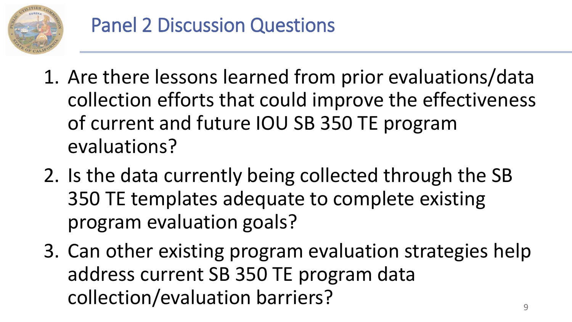

- 1. Are there lessons learned from prior evaluations/data collection efforts that could improve the effectiveness of current and future IOU SB 350 TE program evaluations?
- 2. Is the data currently being collected through the SB 350 TE templates adequate to complete existing program evaluation goals?
- 3. Can other existing program evaluation strategies help address current SB 350 TE program data collection/evaluation barriers?